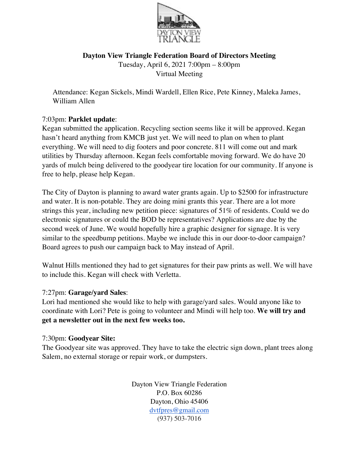

**Dayton View Triangle Federation Board of Directors Meeting** Tuesday, April 6, 2021 7:00pm – 8:00pm Virtual Meeting

Attendance: Kegan Sickels, Mindi Wardell, Ellen Rice, Pete Kinney, Maleka James, William Allen

# 7:03pm: **Parklet update**:

Kegan submitted the application. Recycling section seems like it will be approved. Kegan hasn't heard anything from KMCB just yet. We will need to plan on when to plant everything. We will need to dig footers and poor concrete. 811 will come out and mark utilities by Thursday afternoon. Kegan feels comfortable moving forward. We do have 20 yards of mulch being delivered to the goodyear tire location for our community. If anyone is free to help, please help Kegan.

The City of Dayton is planning to award water grants again. Up to \$2500 for infrastructure and water. It is non-potable. They are doing mini grants this year. There are a lot more strings this year, including new petition piece: signatures of 51% of residents. Could we do electronic signatures or could the BOD be representatives? Applications are due by the second week of June. We would hopefully hire a graphic designer for signage. It is very similar to the speedbump petitions. Maybe we include this in our door-to-door campaign? Board agrees to push our campaign back to May instead of April.

Walnut Hills mentioned they had to get signatures for their paw prints as well. We will have to include this. Kegan will check with Verletta.

### 7:27pm: **Garage/yard Sales**:

Lori had mentioned she would like to help with garage/yard sales. Would anyone like to coordinate with Lori? Pete is going to volunteer and Mindi will help too. **We will try and get a newsletter out in the next few weeks too.** 

### 7:30pm: **Goodyear Site:**

The Goodyear site was approved. They have to take the electric sign down, plant trees along Salem, no external storage or repair work, or dumpsters.

> Dayton View Triangle Federation P.O. Box 60286 Dayton, Ohio 45406 dvtfpres@gmail.com (937) 503-7016